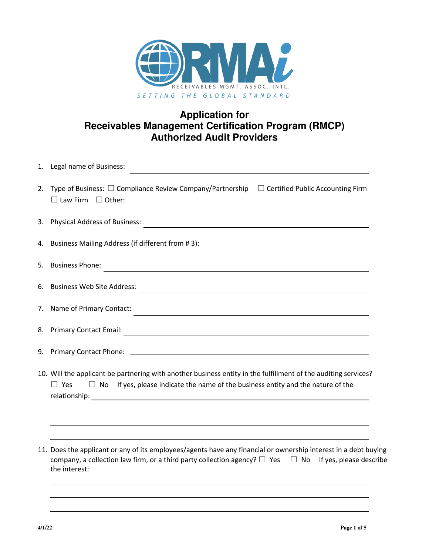

## **Application for Receivables Management Certification Program (RMCP) Authorized Audit Providers**

|    | 1. Legal name of Business:                                                                                                                                                                                                                |  |  |  |  |  |  |
|----|-------------------------------------------------------------------------------------------------------------------------------------------------------------------------------------------------------------------------------------------|--|--|--|--|--|--|
|    | 2. Type of Business: $\square$ Compliance Review Company/Partnership $\square$ Certified Public Accounting Firm                                                                                                                           |  |  |  |  |  |  |
|    |                                                                                                                                                                                                                                           |  |  |  |  |  |  |
|    | 4. Business Mailing Address (if different from #3): \\espaces\\espaces\\espaces\\espaces\\espaces\\espaces\\espaces\\espaces\\espaces\\espaces\\espaces\\espaces\\espaces\\espaces\\espaces\\espaces\\espaces\\espaces\\espace            |  |  |  |  |  |  |
|    | 5. Business Phone:<br><u> 1980 - Andrea Andrew Maria (h. 1980).</u>                                                                                                                                                                       |  |  |  |  |  |  |
|    | 6. Business Web Site Address:                                                                                                                                                                                                             |  |  |  |  |  |  |
|    | 7. Name of Primary Contact:                                                                                                                                                                                                               |  |  |  |  |  |  |
|    | 8. Primary Contact Email:                                                                                                                                                                                                                 |  |  |  |  |  |  |
| 9. |                                                                                                                                                                                                                                           |  |  |  |  |  |  |
|    | 10. Will the applicant be partnering with another business entity in the fulfillment of the auditing services?<br>$\Box$ No If yes, please indicate the name of the business entity and the nature of the<br>$\Box$ Yes                   |  |  |  |  |  |  |
|    |                                                                                                                                                                                                                                           |  |  |  |  |  |  |
|    | 11. Does the applicant or any of its employees/agents have any financial or ownership interest in a debt buying<br>company, a collection law firm, or a third party collection agency? $\square$ Yes $\square$ No If yes, please describe |  |  |  |  |  |  |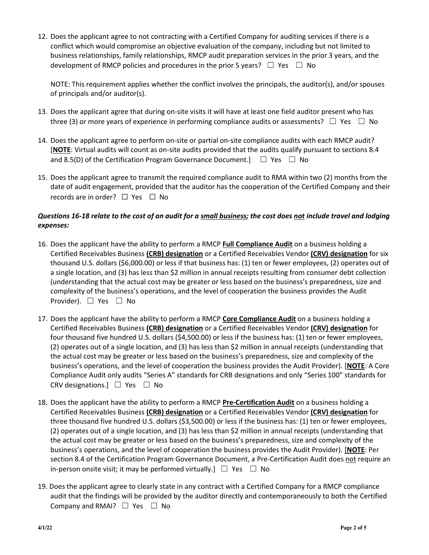12. Does the applicant agree to not contracting with a Certified Company for auditing services if there is a conflict which would compromise an objective evaluation of the company, including but not limited to business relationships, family relationships, RMCP audit preparation services in the prior 3 years, and the development of RMCP policies and procedures in the prior 5 years?  $\Box$  Yes  $\Box$  No

NOTE: This requirement applies whether the conflict involves the principals, the auditor(s), and/or spouses of principals and/or auditor(s).

- 13. Does the applicant agree that during on-site visits it will have at least one field auditor present who has three (3) or more years of experience in performing compliance audits or assessments?  $\Box$  Yes  $\Box$  No
- 14. Does the applicant agree to perform on-site or partial on-site compliance audits with each RMCP audit? [**NOTE**: Virtual audits will count as on-site audits provided that the audits qualify pursuant to sections 8.4 and 8.5(D) of the Certification Program Governance Document.]  $\Box$  Yes  $\Box$  No
- 15. Does the applicant agree to transmit the required compliance audit to RMA within two (2) months from the date of audit engagement, provided that the auditor has the cooperation of the Certified Company and their records are in order? □ Yes □ No

## *Questions 16-18 relate to the cost of an audit for a small business; the cost does not include travel and lodging expenses:*

- 16. Does the applicant have the ability to perform a RMCP **Full Compliance Audit** on a business holding a Certified Receivables Business **(CRB) designation** or a Certified Receivables Vendor **(CRV) designation** for six thousand U.S. dollars (\$6,000.00) or less if that business has: (1) ten or fewer employees, (2) operates out of a single location, and (3) has less than \$2 million in annual receipts resulting from consumer debt collection (understanding that the actual cost may be greater or less based on the business's preparedness, size and complexity of the business's operations, and the level of cooperation the business provides the Audit Provider). ☐ Yes ☐ No
- 17. Does the applicant have the ability to perform a RMCP **Core Compliance Audit** on a business holding a Certified Receivables Business **(CRB) designation** or a Certified Receivables Vendor **(CRV) designation** for four thousand five hundred U.S. dollars (\$4,500.00) or less if the business has: (1) ten or fewer employees, (2) operates out of a single location, and (3) has less than \$2 million in annual receipts (understanding that the actual cost may be greater or less based on the business's preparedness, size and complexity of the business's operations, and the level of cooperation the business provides the Audit Provider). [**NOTE**: A Core Compliance Audit only audits "Series A" standards for CRB designations and only "Series 100" standards for CRV designations.] ☐ Yes ☐ No
- 18. Does the applicant have the ability to perform a RMCP **Pre-Certification Audit** on a business holding a Certified Receivables Business **(CRB) designation** or a Certified Receivables Vendor **(CRV) designation** for three thousand five hundred U.S. dollars (\$3,500.00) or less if the business has: (1) ten or fewer employees, (2) operates out of a single location, and (3) has less than \$2 million in annual receipts (understanding that the actual cost may be greater or less based on the business's preparedness, size and complexity of the business's operations, and the level of cooperation the business provides the Audit Provider). [**NOTE**: Per section 8.4 of the Certification Program Governance Document, a Pre-Certification Audit does not require an in-person onsite visit; it may be performed virtually.]  $\Box$  Yes  $\Box$  No
- 19. Does the applicant agree to clearly state in any contract with a Certified Company for a RMCP compliance audit that the findings will be provided by the auditor directly and contemporaneously to both the Certified Company and RMAI?  $\Box$  Yes  $\Box$  No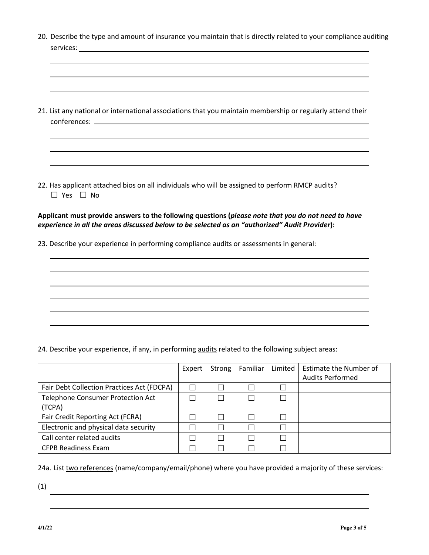| 20. Describe the type and amount of insurance you maintain that is directly related to your compliance auditing                                                                                                                                                                                  |        |        |               |         |                                                          |  |  |
|--------------------------------------------------------------------------------------------------------------------------------------------------------------------------------------------------------------------------------------------------------------------------------------------------|--------|--------|---------------|---------|----------------------------------------------------------|--|--|
| 21. List any national or international associations that you maintain membership or regularly attend their                                                                                                                                                                                       |        |        |               |         |                                                          |  |  |
| 22. Has applicant attached bios on all individuals who will be assigned to perform RMCP audits?<br>$\Box$ Yes $\Box$ No                                                                                                                                                                          |        |        |               |         |                                                          |  |  |
| Applicant must provide answers to the following questions (please note that you do not need to have<br>experience in all the areas discussed below to be selected as an "authorized" Audit Provider):<br>23. Describe your experience in performing compliance audits or assessments in general: |        |        |               |         |                                                          |  |  |
|                                                                                                                                                                                                                                                                                                  |        |        |               |         |                                                          |  |  |
|                                                                                                                                                                                                                                                                                                  |        |        |               |         |                                                          |  |  |
| 24. Describe your experience, if any, in performing audits related to the following subject areas:                                                                                                                                                                                               |        |        |               |         |                                                          |  |  |
|                                                                                                                                                                                                                                                                                                  | Expert | Strong | Familiar      | Limited | <b>Estimate the Number of</b><br><b>Audits Performed</b> |  |  |
| Fair Debt Collection Practices Act (FDCPA)                                                                                                                                                                                                                                                       | $\Box$ | П      | $\mathcal{L}$ | $\Box$  |                                                          |  |  |
| Telephone Consumer Protection Act<br>(TCPA)                                                                                                                                                                                                                                                      | $\Box$ | $\Box$ | П             | П       |                                                          |  |  |
| Fair Credit Reporting Act (FCRA)                                                                                                                                                                                                                                                                 | $\Box$ | $\Box$ | $\Box$        | $\Box$  |                                                          |  |  |
| Electronic and physical data security                                                                                                                                                                                                                                                            | $\Box$ | $\Box$ | $\Box$        | $\Box$  |                                                          |  |  |

24a. List two references (name/company/email/phone) where you have provided a majority of these services:

 $Call$  center related audits  $□ \square □ \square □ \square □ \square □$ CFPB Readiness Exam ☐ ☐ ☐ ☐

(1)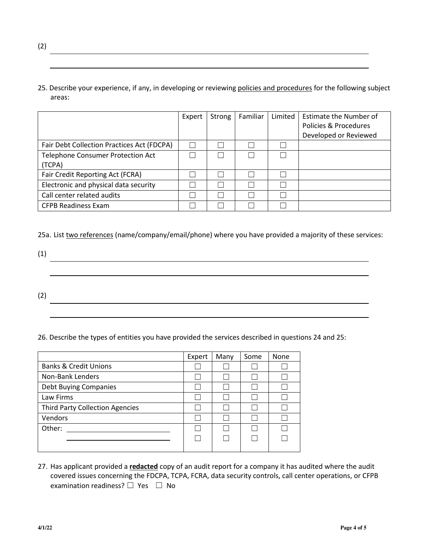25. Describe your experience, if any, in developing or reviewing policies and procedures for the following subject areas:

|                                                    | Expert | Strong | Familiar | Limited | Estimate the Number of<br>Policies & Procedures<br>Developed or Reviewed |
|----------------------------------------------------|--------|--------|----------|---------|--------------------------------------------------------------------------|
| Fair Debt Collection Practices Act (FDCPA)         |        |        |          |         |                                                                          |
| <b>Telephone Consumer Protection Act</b><br>(TCPA) |        |        |          |         |                                                                          |
| Fair Credit Reporting Act (FCRA)                   |        |        |          |         |                                                                          |
| Electronic and physical data security              |        |        |          |         |                                                                          |
| Call center related audits                         |        |        |          |         |                                                                          |
| <b>CFPB Readiness Exam</b>                         |        |        |          |         |                                                                          |

25a. List two references (name/company/email/phone) where you have provided a majority of these services:

(1) <u> 1989 - Johann Stoff, deutscher Stoff, der Stoff, der Stoff, der Stoff, der Stoff, der Stoff, der Stoff, der S</u> (2)

26. Describe the types of entities you have provided the services described in questions 24 and 25:

|                                        | Expert | Many | Some | None |
|----------------------------------------|--------|------|------|------|
| <b>Banks &amp; Credit Unions</b>       |        |      |      |      |
| Non-Bank Lenders                       |        |      |      |      |
| <b>Debt Buying Companies</b>           |        |      |      |      |
| Law Firms                              |        |      |      |      |
| <b>Third Party Collection Agencies</b> |        |      |      |      |
| Vendors                                |        |      |      |      |
| Other:                                 |        |      |      |      |
|                                        |        |      |      |      |
|                                        |        |      |      |      |

27. Has applicant provided a **redacted** copy of an audit report for a company it has audited where the audit covered issues concerning the FDCPA, TCPA, FCRA, data security controls, call center operations, or CFPB examination readiness? □ Yes □ No

(2)